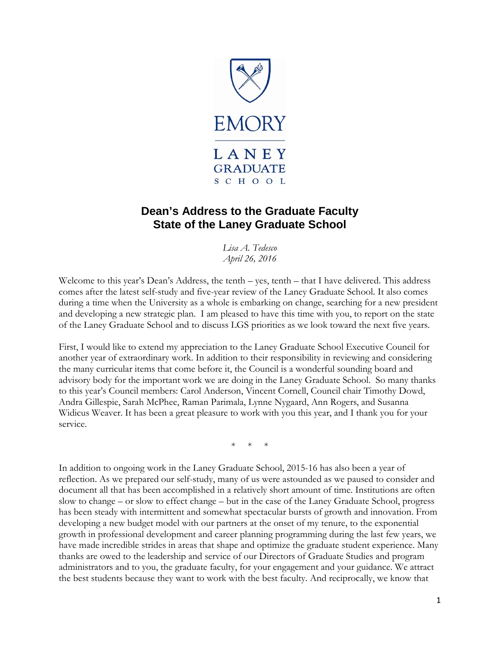

## **Dean's Address to the Graduate Faculty State of the Laney Graduate School**

*Lisa A. Tedesco April 26, 2016*

Welcome to this year's Dean's Address, the tenth – yes, tenth – that I have delivered. This address comes after the latest self-study and five-year review of the Laney Graduate School. It also comes during a time when the University as a whole is embarking on change, searching for a new president and developing a new strategic plan. I am pleased to have this time with you, to report on the state of the Laney Graduate School and to discuss LGS priorities as we look toward the next five years.

First, I would like to extend my appreciation to the Laney Graduate School Executive Council for another year of extraordinary work. In addition to their responsibility in reviewing and considering the many curricular items that come before it, the Council is a wonderful sounding board and advisory body for the important work we are doing in the Laney Graduate School. So many thanks to this year's Council members: Carol Anderson, Vincent Cornell, Council chair Timothy Dowd, Andra Gillespie, Sarah McPhee, Raman Parimala, Lynne Nygaard, Ann Rogers, and Susanna Widicus Weaver. It has been a great pleasure to work with you this year, and I thank you for your service.

 $*$ 

In addition to ongoing work in the Laney Graduate School, 2015-16 has also been a year of reflection. As we prepared our self-study, many of us were astounded as we paused to consider and document all that has been accomplished in a relatively short amount of time. Institutions are often slow to change – or slow to effect change – but in the case of the Laney Graduate School, progress has been steady with intermittent and somewhat spectacular bursts of growth and innovation. From developing a new budget model with our partners at the onset of my tenure, to the exponential growth in professional development and career planning programming during the last few years, we have made incredible strides in areas that shape and optimize the graduate student experience. Many thanks are owed to the leadership and service of our Directors of Graduate Studies and program administrators and to you, the graduate faculty, for your engagement and your guidance. We attract the best students because they want to work with the best faculty. And reciprocally, we know that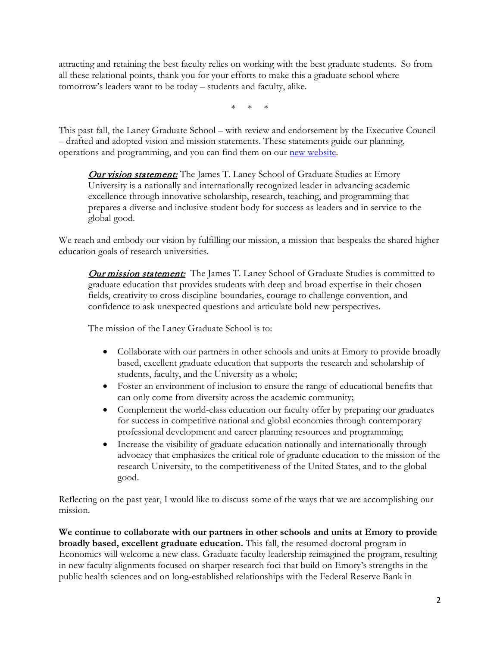attracting and retaining the best faculty relies on working with the best graduate students. So from all these relational points, thank you for your efforts to make this a graduate school where tomorrow's leaders want to be today – students and faculty, alike.

\* \* \*

This past fall, the Laney Graduate School – with review and endorsement by the Executive Council – drafted and adopted vision and mission statements. These statements guide our planning, operations and programming, and you can find them on our [new website.](http://gs.emory.edu/about/vision-mission.html)

**Our vision statement:** The James T. Laney School of Graduate Studies at Emory University is a nationally and internationally recognized leader in advancing academic excellence through innovative scholarship, research, teaching, and programming that prepares a diverse and inclusive student body for success as leaders and in service to the global good.

We reach and embody our vision by fulfilling our mission, a mission that bespeaks the shared higher education goals of research universities.

Our mission statement:The James T. Laney School of Graduate Studies is committed to graduate education that provides students with deep and broad expertise in their chosen fields, creativity to cross discipline boundaries, courage to challenge convention, and confidence to ask unexpected questions and articulate bold new perspectives.

The mission of the Laney Graduate School is to:

- Collaborate with our partners in other schools and units at Emory to provide broadly based, excellent graduate education that supports the research and scholarship of students, faculty, and the University as a whole;
- Foster an environment of inclusion to ensure the range of educational benefits that can only come from diversity across the academic community;
- Complement the world-class education our faculty offer by preparing our graduates for success in competitive national and global economies through contemporary professional development and career planning resources and programming;
- Increase the visibility of graduate education nationally and internationally through advocacy that emphasizes the critical role of graduate education to the mission of the research University, to the competitiveness of the United States, and to the global good.

Reflecting on the past year, I would like to discuss some of the ways that we are accomplishing our mission.

**We continue to collaborate with our partners in other schools and units at Emory to provide broadly based, excellent graduate education.** This fall, the resumed doctoral program in Economics will welcome a new class. Graduate faculty leadership reimagined the program, resulting in new faculty alignments focused on sharper research foci that build on Emory's strengths in the public health sciences and on long-established relationships with the Federal Reserve Bank in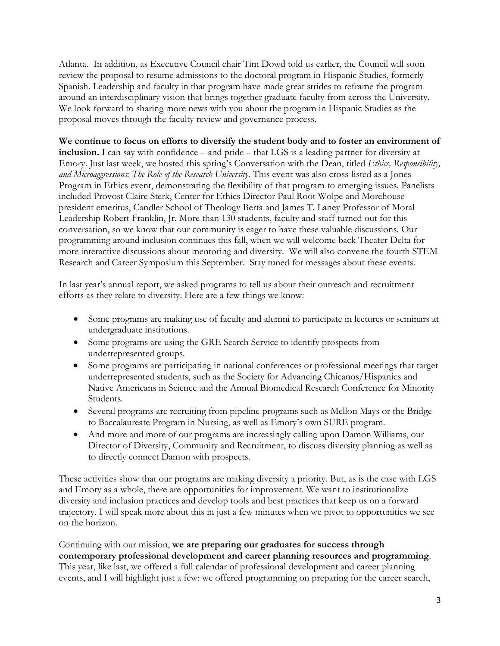Atlanta. In addition, as Executive Council chair Tim Dowd told us earlier, the Council will soon review the proposal to resume admissions to the doctoral program in Hispanic Studies, formerly Spanish. Leadership and faculty in that program have made great strides to reframe the program around an interdisciplinary vision that brings together graduate faculty from across the University. We look forward to sharing more news with you about the program in Hispanic Studies as the proposal moves through the faculty review and governance process.

**We continue to focus on efforts to diversify the student body and to foster an environment of inclusion.** I can say with confidence – and pride – that LGS is a leading partner for diversity at Emory. Just last week, we hosted this spring's Conversation with the Dean, titled *Ethics, Responsibility, and Microaggressions: The Role of the Research University*. This event was also cross-listed as a Jones Program in Ethics event, demonstrating the flexibility of that program to emerging issues. Panelists included Provost Claire Sterk, Center for Ethics Director Paul Root Wolpe and Morehouse president emeritus, Candler School of Theology Berta and James T. Laney Professor of Moral Leadership Robert Franklin, Jr. More than 130 students, faculty and staff turned out for this conversation, so we know that our community is eager to have these valuable discussions. Our programming around inclusion continues this fall, when we will welcome back Theater Delta for more interactive discussions about mentoring and diversity. We will also convene the fourth STEM Research and Career Symposium this September. Stay tuned for messages about these events.

In last year's annual report, we asked programs to tell us about their outreach and recruitment efforts as they relate to diversity. Here are a few things we know:

- Some programs are making use of faculty and alumni to participate in lectures or seminars at undergraduate institutions.
- Some programs are using the GRE Search Service to identify prospects from underrepresented groups.
- Some programs are participating in national conferences or professional meetings that target underrepresented students, such as the Society for Advancing Chicanos/Hispanics and Native Americans in Science and the Annual Biomedical Research Conference for Minority Students.
- Several programs are recruiting from pipeline programs such as Mellon Mays or the Bridge to Baccalaureate Program in Nursing, as well as Emory's own SURE program.
- And more and more of our programs are increasingly calling upon Damon Williams, our Director of Diversity, Community and Recruitment, to discuss diversity planning as well as to directly connect Damon with prospects.

These activities show that our programs are making diversity a priority. But, as is the case with LGS and Emory as a whole, there are opportunities for improvement. We want to institutionalize diversity and inclusion practices and develop tools and best practices that keep us on a forward trajectory. I will speak more about this in just a few minutes when we pivot to opportunities we see on the horizon.

Continuing with our mission, **we are preparing our graduates for success through contemporary professional development and career planning resources and programming**. This year, like last, we offered a full calendar of professional development and career planning events, and I will highlight just a few: we offered programming on preparing for the career search,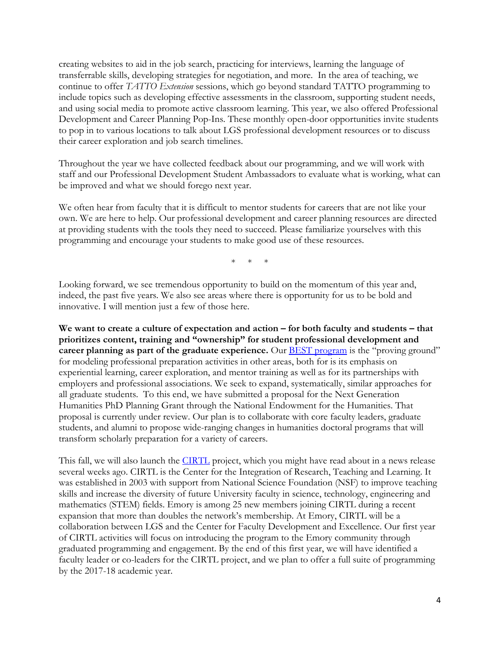creating websites to aid in the job search, practicing for interviews, learning the language of transferrable skills, developing strategies for negotiation, and more. In the area of teaching, we continue to offer *TATTO Extension* sessions, which go beyond standard TATTO programming to include topics such as developing effective assessments in the classroom, supporting student needs, and using social media to promote active classroom learning. This year, we also offered Professional Development and Career Planning Pop-Ins. These monthly open-door opportunities invite students to pop in to various locations to talk about LGS professional development resources or to discuss their career exploration and job search timelines.

Throughout the year we have collected feedback about our programming, and we will work with staff and our Professional Development Student Ambassadors to evaluate what is working, what can be improved and what we should forego next year.

We often hear from faculty that it is difficult to mentor students for careers that are not like your own. We are here to help. Our professional development and career planning resources are directed at providing students with the tools they need to succeed. Please familiarize yourselves with this programming and encourage your students to make good use of these resources.

\* \* \*

Looking forward, we see tremendous opportunity to build on the momentum of this year and, indeed, the past five years. We also see areas where there is opportunity for us to be bold and innovative. I will mention just a few of those here.

**We want to create a culture of expectation and action – for both faculty and students – that prioritizes content, training and "ownership" for student professional development and career planning as part of the graduate experience.** Our [BEST program](http://best.emory.edu/) is the "proving ground" for modeling professional preparation activities in other areas, both for is its emphasis on experiential learning, career exploration, and mentor training as well as for its partnerships with employers and professional associations. We seek to expand, systematically, similar approaches for all graduate students. To this end, we have submitted a proposal for the Next Generation Humanities PhD Planning Grant through the National Endowment for the Humanities. That proposal is currently under review. Our plan is to collaborate with core faculty leaders, graduate students, and alumni to propose wide-ranging changes in humanities doctoral programs that will transform scholarly preparation for a variety of careers.

This fall, we will also launch the [CIRTL](http://www.cirtl.net/) project, which you might have read about in a news release several weeks ago. CIRTL is the Center for the Integration of Research, Teaching and Learning. It was established in 2003 with support from National Science Foundation (NSF) to improve teaching skills and increase the diversity of future University faculty in science, technology, engineering and mathematics (STEM) fields. Emory is among 25 new members joining CIRTL during a recent expansion that more than doubles the network's membership. At Emory, CIRTL will be a collaboration between LGS and the Center for Faculty Development and Excellence. Our first year of CIRTL activities will focus on introducing the program to the Emory community through graduated programming and engagement. By the end of this first year, we will have identified a faculty leader or co-leaders for the CIRTL project, and we plan to offer a full suite of programming by the 2017-18 academic year.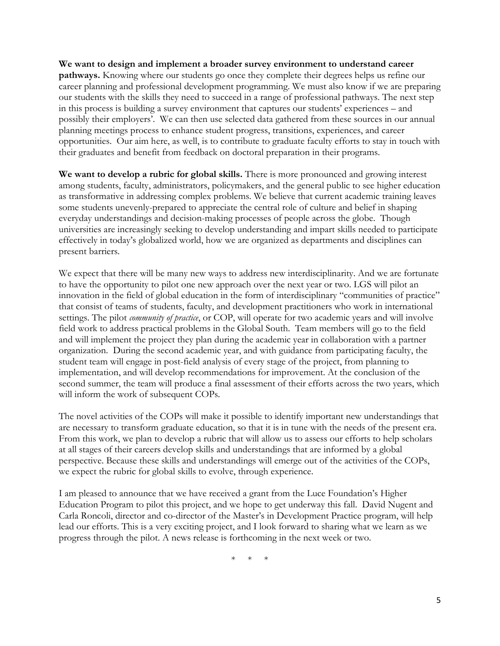**We want to design and implement a broader survey environment to understand career pathways.** Knowing where our students go once they complete their degrees helps us refine our career planning and professional development programming. We must also know if we are preparing our students with the skills they need to succeed in a range of professional pathways. The next step in this process is building a survey environment that captures our students' experiences – and possibly their employers'. We can then use selected data gathered from these sources in our annual planning meetings process to enhance student progress, transitions, experiences, and career opportunities. Our aim here, as well, is to contribute to graduate faculty efforts to stay in touch with their graduates and benefit from feedback on doctoral preparation in their programs.

**We want to develop a rubric for global skills.** There is more pronounced and growing interest among students, faculty, administrators, policymakers, and the general public to see higher education as transformative in addressing complex problems. We believe that current academic training leaves some students unevenly-prepared to appreciate the central role of culture and belief in shaping everyday understandings and decision-making processes of people across the globe. Though universities are increasingly seeking to develop understanding and impart skills needed to participate effectively in today's globalized world, how we are organized as departments and disciplines can present barriers.

We expect that there will be many new ways to address new interdisciplinarity. And we are fortunate to have the opportunity to pilot one new approach over the next year or two. LGS will pilot an innovation in the field of global education in the form of interdisciplinary "communities of practice" that consist of teams of students, faculty, and development practitioners who work in international settings. The pilot *community of practice*, or COP, will operate for two academic years and will involve field work to address practical problems in the Global South. Team members will go to the field and will implement the project they plan during the academic year in collaboration with a partner organization. During the second academic year, and with guidance from participating faculty, the student team will engage in post-field analysis of every stage of the project, from planning to implementation, and will develop recommendations for improvement. At the conclusion of the second summer, the team will produce a final assessment of their efforts across the two years, which will inform the work of subsequent COPs.

The novel activities of the COPs will make it possible to identify important new understandings that are necessary to transform graduate education, so that it is in tune with the needs of the present era. From this work, we plan to develop a rubric that will allow us to assess our efforts to help scholars at all stages of their careers develop skills and understandings that are informed by a global perspective. Because these skills and understandings will emerge out of the activities of the COPs, we expect the rubric for global skills to evolve, through experience.

I am pleased to announce that we have received a grant from the Luce Foundation's Higher Education Program to pilot this project, and we hope to get underway this fall. David Nugent and Carla Roncoli, director and co-director of the Master's in Development Practice program, will help lead our efforts. This is a very exciting project, and I look forward to sharing what we learn as we progress through the pilot. A news release is forthcoming in the next week or two.

\* \* \*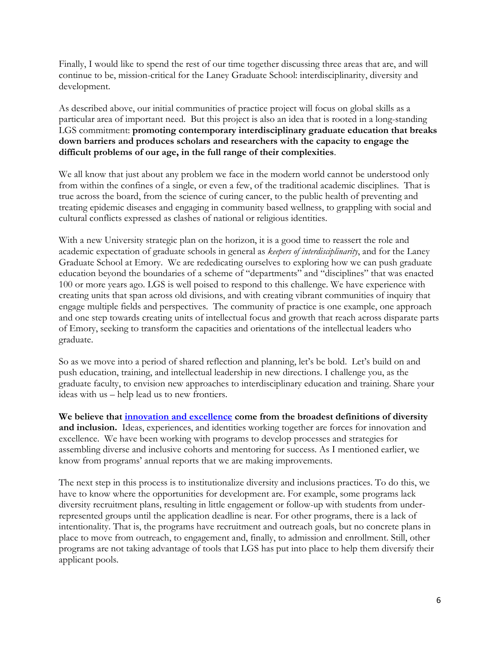Finally, I would like to spend the rest of our time together discussing three areas that are, and will continue to be, mission-critical for the Laney Graduate School: interdisciplinarity, diversity and development.

As described above, our initial communities of practice project will focus on global skills as a particular area of important need. But this project is also an idea that is rooted in a long-standing LGS commitment: **promoting contemporary interdisciplinary graduate education that breaks down barriers and produces scholars and researchers with the capacity to engage the difficult problems of our age, in the full range of their complexities**.

We all know that just about any problem we face in the modern world cannot be understood only from within the confines of a single, or even a few, of the traditional academic disciplines. That is true across the board, from the science of curing cancer, to the public health of preventing and treating epidemic diseases and engaging in community based wellness, to grappling with social and cultural conflicts expressed as clashes of national or religious identities.

With a new University strategic plan on the horizon, it is a good time to reassert the role and academic expectation of graduate schools in general as *keepers of interdisciplinarity*, and for the Laney Graduate School at Emory. We are rededicating ourselves to exploring how we can push graduate education beyond the boundaries of a scheme of "departments" and "disciplines" that was enacted 100 or more years ago. LGS is well poised to respond to this challenge. We have experience with creating units that span across old divisions, and with creating vibrant communities of inquiry that engage multiple fields and perspectives. The community of practice is one example, one approach and one step towards creating units of intellectual focus and growth that reach across disparate parts of Emory, seeking to transform the capacities and orientations of the intellectual leaders who graduate.

So as we move into a period of shared reflection and planning, let's be bold. Let's build on and push education, training, and intellectual leadership in new directions. I challenge you, as the graduate faculty, to envision new approaches to interdisciplinary education and training. Share your ideas with us – help lead us to new frontiers.

**We believe that [innovation and excellence](http://gs.emory.edu/about/diversity/index.html) come from the broadest definitions of diversity and inclusion.** Ideas, experiences, and identities working together are forces for innovation and excellence. We have been working with programs to develop processes and strategies for assembling diverse and inclusive cohorts and mentoring for success. As I mentioned earlier, we know from programs' annual reports that we are making improvements.

The next step in this process is to institutionalize diversity and inclusions practices. To do this, we have to know where the opportunities for development are. For example, some programs lack diversity recruitment plans, resulting in little engagement or follow-up with students from underrepresented groups until the application deadline is near. For other programs, there is a lack of intentionality. That is, the programs have recruitment and outreach goals, but no concrete plans in place to move from outreach, to engagement and, finally, to admission and enrollment. Still, other programs are not taking advantage of tools that LGS has put into place to help them diversify their applicant pools.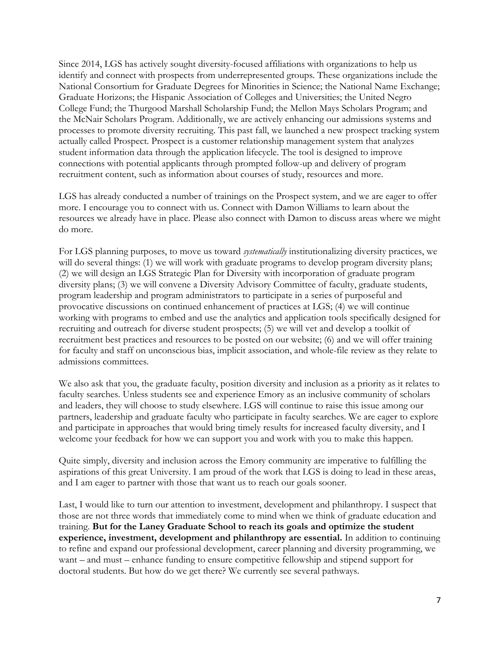Since 2014, LGS has actively sought diversity-focused affiliations with organizations to help us identify and connect with prospects from underrepresented groups. These organizations include the National Consortium for Graduate Degrees for Minorities in Science; the National Name Exchange; Graduate Horizons; the Hispanic Association of Colleges and Universities; the United Negro College Fund; the Thurgood Marshall Scholarship Fund; the Mellon Mays Scholars Program; and the McNair Scholars Program. Additionally, we are actively enhancing our admissions systems and processes to promote diversity recruiting. This past fall, we launched a new prospect tracking system actually called Prospect. Prospect is a customer relationship management system that analyzes student information data through the application lifecycle. The tool is designed to improve connections with potential applicants through prompted follow-up and delivery of program recruitment content, such as information about courses of study, resources and more.

LGS has already conducted a number of trainings on the Prospect system, and we are eager to offer more. I encourage you to connect with us. Connect with Damon Williams to learn about the resources we already have in place. Please also connect with Damon to discuss areas where we might do more.

For LGS planning purposes, to move us toward *systematically* institutionalizing diversity practices, we will do several things: (1) we will work with graduate programs to develop program diversity plans; (2) we will design an LGS Strategic Plan for Diversity with incorporation of graduate program diversity plans; (3) we will convene a Diversity Advisory Committee of faculty, graduate students, program leadership and program administrators to participate in a series of purposeful and provocative discussions on continued enhancement of practices at LGS; (4) we will continue working with programs to embed and use the analytics and application tools specifically designed for recruiting and outreach for diverse student prospects; (5) we will vet and develop a toolkit of recruitment best practices and resources to be posted on our website; (6) and we will offer training for faculty and staff on unconscious bias, implicit association, and whole-file review as they relate to admissions committees.

We also ask that you, the graduate faculty, position diversity and inclusion as a priority as it relates to faculty searches. Unless students see and experience Emory as an inclusive community of scholars and leaders, they will choose to study elsewhere. LGS will continue to raise this issue among our partners, leadership and graduate faculty who participate in faculty searches. We are eager to explore and participate in approaches that would bring timely results for increased faculty diversity, and I welcome your feedback for how we can support you and work with you to make this happen.

Quite simply, diversity and inclusion across the Emory community are imperative to fulfilling the aspirations of this great University. I am proud of the work that LGS is doing to lead in these areas, and I am eager to partner with those that want us to reach our goals sooner.

Last, I would like to turn our attention to investment, development and philanthropy. I suspect that those are not three words that immediately come to mind when we think of graduate education and training. **But for the Laney Graduate School to reach its goals and optimize the student experience, investment, development and philanthropy are essential.** In addition to continuing to refine and expand our professional development, career planning and diversity programming, we want – and must – enhance funding to ensure competitive fellowship and stipend support for doctoral students. But how do we get there? We currently see several pathways.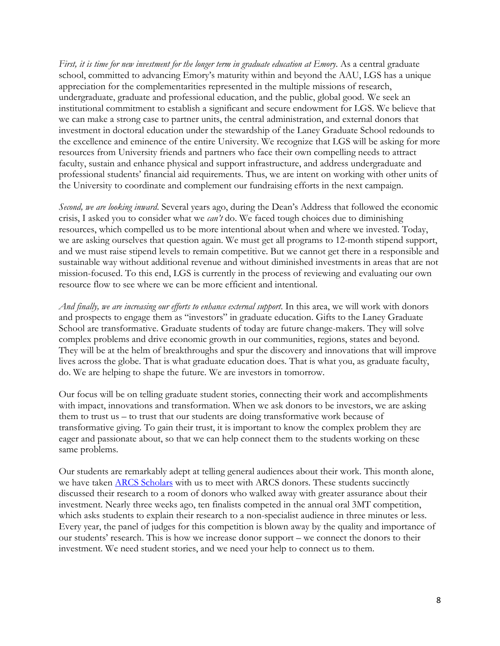*First, it is time for new investment for the longer term in graduate education at Emory*. As a central graduate school, committed to advancing Emory's maturity within and beyond the AAU, LGS has a unique appreciation for the complementarities represented in the multiple missions of research, undergraduate, graduate and professional education, and the public, global good. We seek an institutional commitment to establish a significant and secure endowment for LGS. We believe that we can make a strong case to partner units, the central administration, and external donors that investment in doctoral education under the stewardship of the Laney Graduate School redounds to the excellence and eminence of the entire University. We recognize that LGS will be asking for more resources from University friends and partners who face their own compelling needs to attract faculty, sustain and enhance physical and support infrastructure, and address undergraduate and professional students' financial aid requirements. Thus, we are intent on working with other units of the University to coordinate and complement our fundraising efforts in the next campaign.

*Second, we are looking inward*. Several years ago, during the Dean's Address that followed the economic crisis, I asked you to consider what we *can't* do. We faced tough choices due to diminishing resources, which compelled us to be more intentional about when and where we invested. Today, we are asking ourselves that question again. We must get all programs to 12-month stipend support, and we must raise stipend levels to remain competitive. But we cannot get there in a responsible and sustainable way without additional revenue and without diminished investments in areas that are not mission-focused. To this end, LGS is currently in the process of reviewing and evaluating our own resource flow to see where we can be more efficient and intentional.

*And finally, we are increasing our efforts to enhance external support*. In this area, we will work with donors and prospects to engage them as "investors" in graduate education. Gifts to the Laney Graduate School are transformative. Graduate students of today are future change-makers. They will solve complex problems and drive economic growth in our communities, regions, states and beyond. They will be at the helm of breakthroughs and spur the discovery and innovations that will improve lives across the globe. That is what graduate education does. That is what you, as graduate faculty, do. We are helping to shape the future. We are investors in tomorrow.

Our focus will be on telling graduate student stories, connecting their work and accomplishments with impact, innovations and transformation. When we ask donors to be investors, we are asking them to trust us – to trust that our students are doing transformative work because of transformative giving. To gain their trust, it is important to know the complex problem they are eager and passionate about, so that we can help connect them to the students working on these same problems.

Our students are remarkably adept at telling general audiences about their work. This month alone, we have taken **ARCS Scholars** with us to meet with ARCS donors. These students succinctly discussed their research to a room of donors who walked away with greater assurance about their investment. Nearly three weeks ago, ten finalists competed in the annual oral 3MT competition, which asks students to explain their research to a non-specialist audience in three minutes or less. Every year, the panel of judges for this competition is blown away by the quality and importance of our students' research. This is how we increase donor support – we connect the donors to their investment. We need student stories, and we need your help to connect us to them.